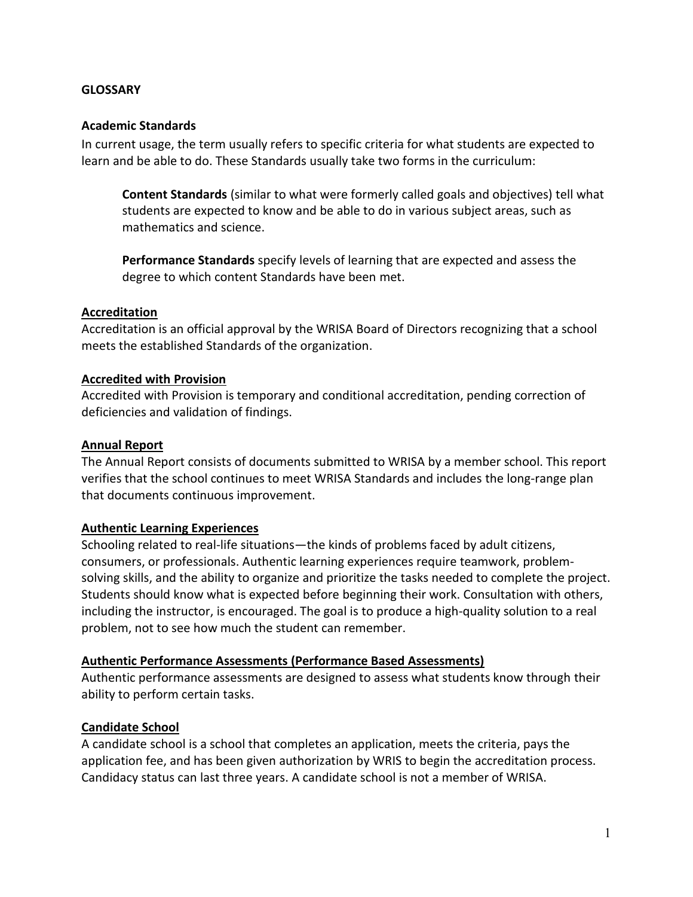#### **GLOSSARY**

#### **Academic Standards**

In current usage, the term usually refers to specific criteria for what students are expected to learn and be able to do. These Standards usually take two forms in the curriculum:

**Content Standards** (similar to what were formerly called goals and objectives) tell what students are expected to know and be able to do in various subject areas, such as mathematics and science.

**Performance Standards** specify levels of learning that are expected and assess the degree to which content Standards have been met.

#### **Accreditation**

Accreditation is an official approval by the WRISA Board of Directors recognizing that a school meets the established Standards of the organization.

#### **Accredited with Provision**

Accredited with Provision is temporary and conditional accreditation, pending correction of deficiencies and validation of findings.

#### **Annual Report**

The Annual Report consists of documents submitted to WRISA by a member school. This report verifies that the school continues to meet WRISA Standards and includes the long-range plan that documents continuous improvement.

#### **Authentic Learning Experiences**

Schooling related to real-life situations—the kinds of problems faced by adult citizens, consumers, or professionals. Authentic learning experiences require teamwork, problemsolving skills, and the ability to organize and prioritize the tasks needed to complete the project. Students should know what is expected before beginning their work. Consultation with others, including the instructor, is encouraged. The goal is to produce a high-quality solution to a real problem, not to see how much the student can remember.

#### **Authentic Performance Assessments (Performance Based Assessments)**

Authentic performance assessments are designed to assess what students know through their ability to perform certain tasks.

#### **Candidate School**

A candidate school is a school that completes an application, meets the criteria, pays the application fee, and has been given authorization by WRIS to begin the accreditation process. Candidacy status can last three years. A candidate school is not a member of WRISA.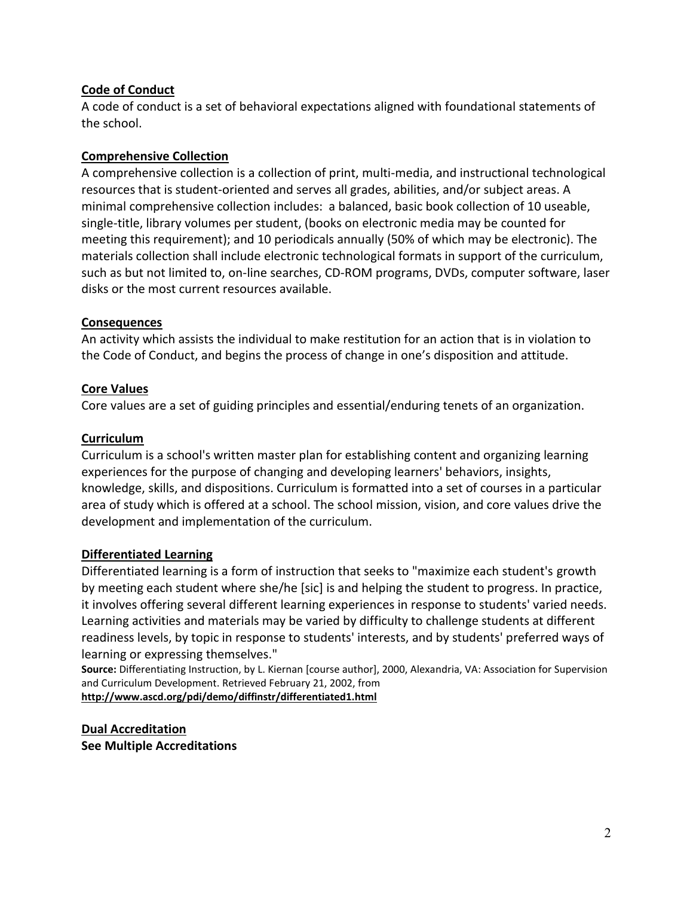## **Code of Conduct**

A code of conduct is a set of behavioral expectations aligned with foundational statements of the school.

### **Comprehensive Collection**

A comprehensive collection is a collection of print, multi-media, and instructional technological resources that is student-oriented and serves all grades, abilities, and/or subject areas. A minimal comprehensive collection includes: a balanced, basic book collection of 10 useable, single-title, library volumes per student, (books on electronic media may be counted for meeting this requirement); and 10 periodicals annually (50% of which may be electronic). The materials collection shall include electronic technological formats in support of the curriculum, such as but not limited to, on-line searches, CD-ROM programs, DVDs, computer software, laser disks or the most current resources available.

#### **Consequences**

An activity which assists the individual to make restitution for an action that is in violation to the Code of Conduct, and begins the process of change in one's disposition and attitude.

#### **Core Values**

Core values are a set of guiding principles and essential/enduring tenets of an organization.

#### **Curriculum**

Curriculum is a school's written master plan for establishing content and organizing learning experiences for the purpose of changing and developing learners' behaviors, insights, knowledge, skills, and dispositions. Curriculum is formatted into a set of courses in a particular area of study which is offered at a school. The school mission, vision, and core values drive the development and implementation of the curriculum.

#### **Differentiated Learning**

Differentiated learning is a form of instruction that seeks to "maximize each student's growth by meeting each student where she/he [sic] is and helping the student to progress. In practice, it involves offering several different learning experiences in response to students' varied needs. Learning activities and materials may be varied by difficulty to challenge students at different readiness levels, by topic in response to students' interests, and by students' preferred ways of learning or expressing themselves."

**Source:** Differentiating Instruction, by L. Kiernan [course author], 2000, Alexandria, VA: Association for Supervision and Curriculum Development. Retrieved February 21, 2002, from

**<http://www.ascd.org/pdi/demo/diffinstr/differentiated1.html>**

**Dual Accreditation See Multiple Accreditations**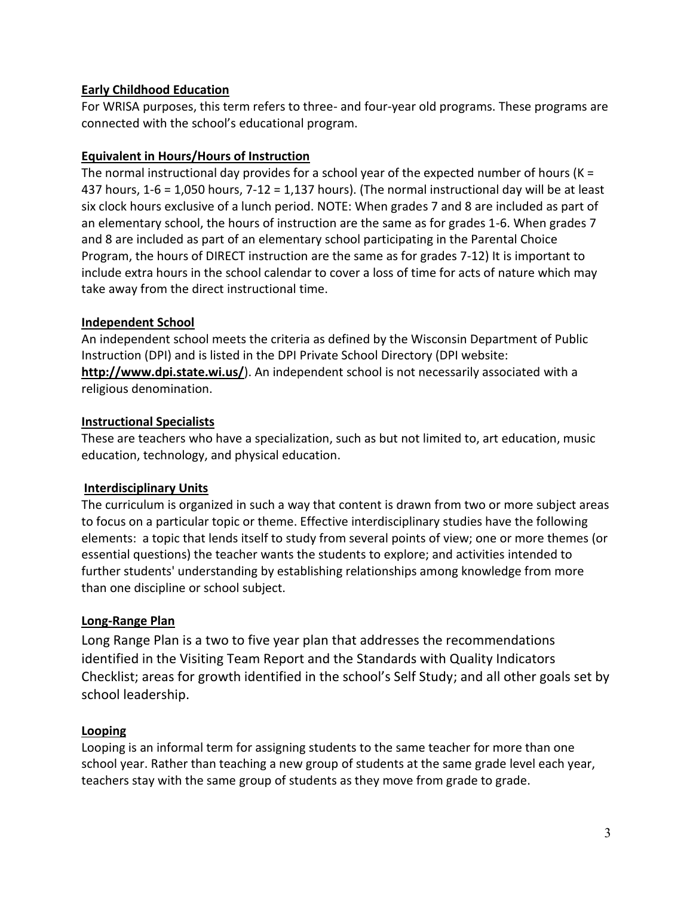# **Early Childhood Education**

For WRISA purposes, this term refers to three- and four-year old programs. These programs are connected with the school's educational program.

# **Equivalent in Hours/Hours of Instruction**

The normal instructional day provides for a school year of the expected number of hours ( $K =$ 437 hours,  $1-6 = 1,050$  hours,  $7-12 = 1,137$  hours). (The normal instructional day will be at least six clock hours exclusive of a lunch period. NOTE: When grades 7 and 8 are included as part of an elementary school, the hours of instruction are the same as for grades 1-6. When grades 7 and 8 are included as part of an elementary school participating in the Parental Choice Program, the hours of DIRECT instruction are the same as for grades 7-12) It is important to include extra hours in the school calendar to cover a loss of time for acts of nature which may take away from the direct instructional time.

# **Independent School**

An independent school meets the criteria as defined by the Wisconsin Department of Public Instruction (DPI) and is listed in the DPI Private School Directory (DPI website: **<http://www.dpi.state.wi.us/>**). An independent school is not necessarily associated with a religious denomination.

# **Instructional Specialists**

These are teachers who have a specialization, such as but not limited to, art education, music education, technology, and physical education.

# **Interdisciplinary Units**

The curriculum is organized in such a way that content is drawn from two or more subject areas to focus on a particular topic or theme. Effective interdisciplinary studies have the following elements: a topic that lends itself to study from several points of view; one or more themes (or essential questions) the teacher wants the students to explore; and activities intended to further students' understanding by establishing relationships among knowledge from more than one discipline or school subject.

# **Long-Range Plan**

Long Range Plan is a two to five year plan that addresses the recommendations identified in the Visiting Team Report and the Standards with Quality Indicators Checklist; areas for growth identified in the school's Self Study; and all other goals set by school leadership.

# **Looping**

Looping is an informal term for assigning students to the same teacher for more than one school year. Rather than teaching a new group of students at the same grade level each year, teachers stay with the same group of students as they move from grade to grade.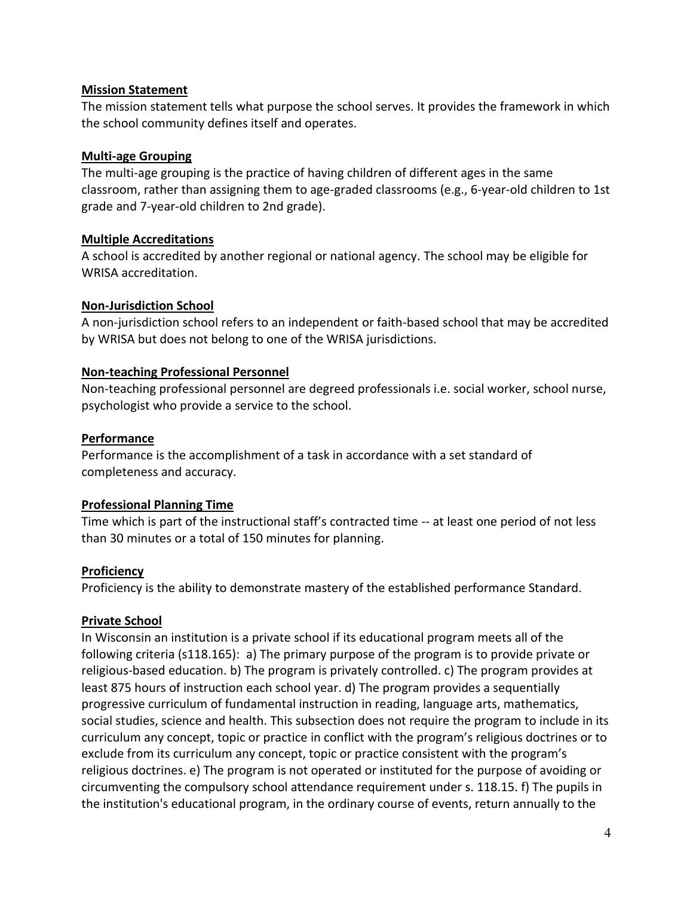### **Mission Statement**

The mission statement tells what purpose the school serves. It provides the framework in which the school community defines itself and operates.

## **Multi-age Grouping**

The multi-age grouping is the practice of having children of different ages in the same classroom, rather than assigning them to age-graded classrooms (e.g., 6-year-old children to 1st grade and 7-year-old children to 2nd grade).

### **Multiple Accreditations**

A school is accredited by another regional or national agency. The school may be eligible for WRISA accreditation.

# **Non-Jurisdiction School**

A non-jurisdiction school refers to an independent or faith-based school that may be accredited by WRISA but does not belong to one of the WRISA jurisdictions.

### **Non-teaching Professional Personnel**

Non-teaching professional personnel are degreed professionals i.e. social worker, school nurse, psychologist who provide a service to the school.

### **Performance**

Performance is the accomplishment of a task in accordance with a set standard of completeness and accuracy.

#### **Professional Planning Time**

Time which is part of the instructional staff's contracted time -- at least one period of not less than 30 minutes or a total of 150 minutes for planning.

# **Proficiency**

Proficiency is the ability to demonstrate mastery of the established performance Standard.

#### **Private School**

In Wisconsin an institution is a private school if its educational program meets all of the following criteria (s118.165): a) The primary purpose of the program is to provide private or religious-based education. b) The program is privately controlled. c) The program provides at least 875 hours of instruction each school year. d) The program provides a sequentially progressive curriculum of fundamental instruction in reading, language arts, mathematics, social studies, science and health. This subsection does not require the program to include in its curriculum any concept, topic or practice in conflict with the program's religious doctrines or to exclude from its curriculum any concept, topic or practice consistent with the program's religious doctrines. e) The program is not operated or instituted for the purpose of avoiding or circumventing the compulsory school attendance requirement under s. 118.15. f) The pupils in the institution's educational program, in the ordinary course of events, return annually to the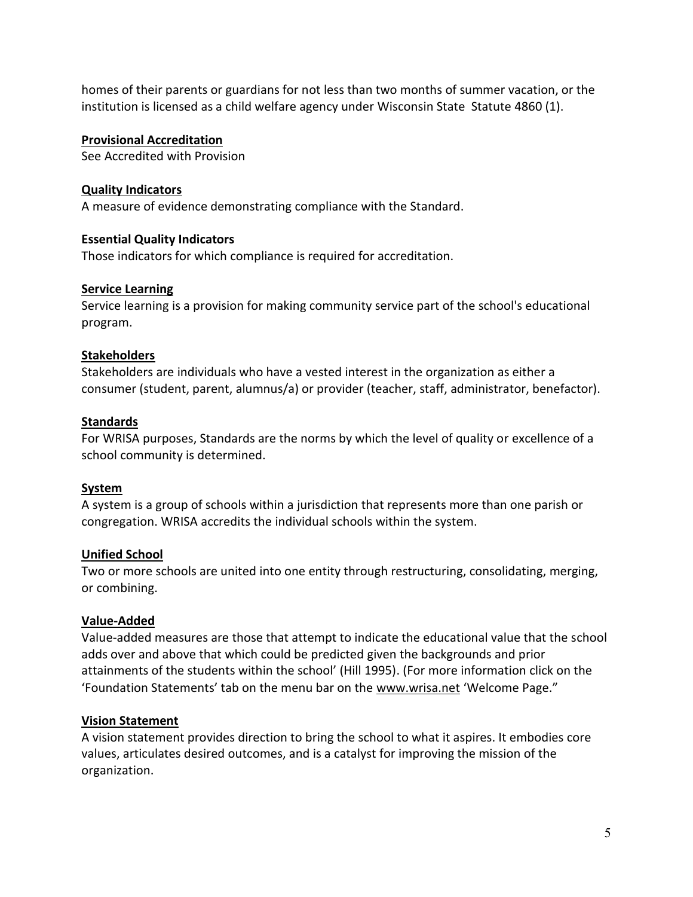homes of their parents or guardians for not less than two months of summer vacation, or the institution is licensed as a child welfare agency under Wisconsin State Statute 4860 (1).

## **Provisional Accreditation**

See Accredited with Provision

## **Quality Indicators**

A measure of evidence demonstrating compliance with the Standard.

### **Essential Quality Indicators**

Those indicators for which compliance is required for accreditation.

### **Service Learning**

Service learning is a provision for making community service part of the school's educational program.

### **Stakeholders**

Stakeholders are individuals who have a vested interest in the organization as either a consumer (student, parent, alumnus/a) or provider (teacher, staff, administrator, benefactor).

### **Standards**

For WRISA purposes, Standards are the norms by which the level of quality or excellence of a school community is determined.

# **System**

A system is a group of schools within a jurisdiction that represents more than one parish or congregation. WRISA accredits the individual schools within the system.

# **Unified School**

Two or more schools are united into one entity through restructuring, consolidating, merging, or combining.

# **Value-Added**

Value-added measures are those that attempt to indicate the educational value that the school adds over and above that which could be predicted given the backgrounds and prior attainments of the students within the school' (Hill 1995). (For more information click on the 'Foundation Statements' tab on the menu bar on the [www.wrisa.net](http://www.wrisa.net/) 'Welcome Page."

# **Vision Statement**

A vision statement provides direction to bring the school to what it aspires. It embodies core values, articulates desired outcomes, and is a catalyst for improving the mission of the organization.